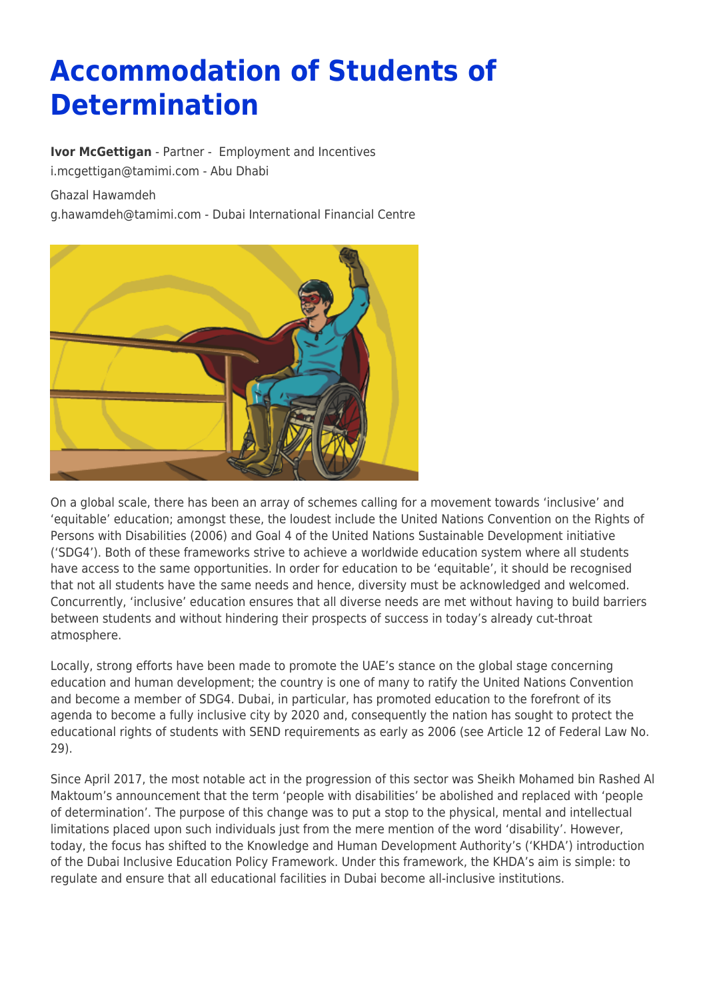# **Accommodation of Students of Determination**

**[Ivor McGettigan](https://www.tamimi.com/find-a-lawyer/ivor-mcgettigan/)** - Partner - [Employment and Incentives](https://www.tamimi.com/client-services/practices/employment-incentives/) [i.mcgettigan@tamimi.com](mailto:i.mcgettigan@tamimi.com) - [Abu Dhabi](https://www.tamimi.com/locations/uae/)

Ghazal Hawamdeh

[g.hawamdeh@tamimi.com](mailto:g.hawamdeh@tamimi.com) - [Dubai International Financial Centre](https://www.tamimi.com/locations/uae/)



On a global scale, there has been an array of schemes calling for a movement towards 'inclusive' and 'equitable' education; amongst these, the loudest include the United Nations Convention on the Rights of Persons with Disabilities (2006) and Goal 4 of the United Nations Sustainable Development initiative ('SDG4'). Both of these frameworks strive to achieve a worldwide education system where all students have access to the same opportunities. In order for education to be 'equitable', it should be recognised that not all students have the same needs and hence, diversity must be acknowledged and welcomed. Concurrently, 'inclusive' education ensures that all diverse needs are met without having to build barriers between students and without hindering their prospects of success in today's already cut-throat atmosphere.

Locally, strong efforts have been made to promote the UAE's stance on the global stage concerning education and human development; the country is one of many to ratify the United Nations Convention and become a member of SDG4. Dubai, in particular, has promoted education to the forefront of its agenda to become a fully inclusive city by 2020 and, consequently the nation has sought to protect the educational rights of students with SEND requirements as early as 2006 (see Article 12 of Federal Law No. 29).

Since April 2017, the most notable act in the progression of this sector was Sheikh Mohamed bin Rashed Al Maktoum's announcement that the term 'people with disabilities' be abolished and replaced with 'people of determination'. The purpose of this change was to put a stop to the physical, mental and intellectual limitations placed upon such individuals just from the mere mention of the word 'disability'. However, today, the focus has shifted to the Knowledge and Human Development Authority's ('KHDA') introduction of the Dubai Inclusive Education Policy Framework. Under this framework, the KHDA's aim is simple: to regulate and ensure that all educational facilities in Dubai become all-inclusive institutions.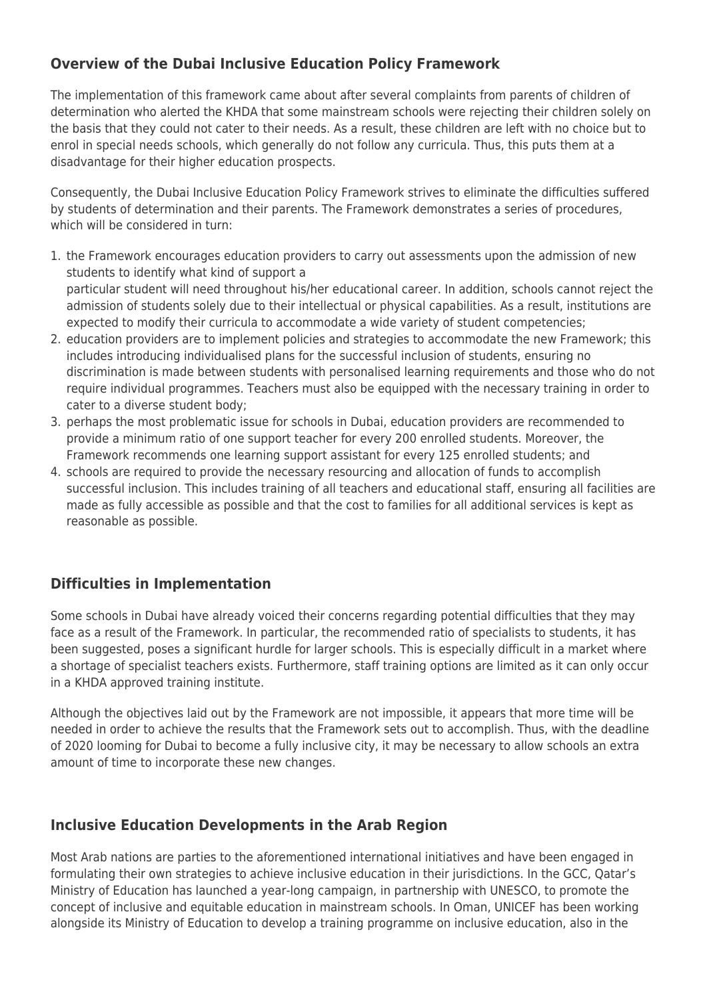## **Overview of the Dubai Inclusive Education Policy Framework**

The implementation of this framework came about after several complaints from parents of children of determination who alerted the KHDA that some mainstream schools were rejecting their children solely on the basis that they could not cater to their needs. As a result, these children are left with no choice but to enrol in special needs schools, which generally do not follow any curricula. Thus, this puts them at a disadvantage for their higher education prospects.

Consequently, the Dubai Inclusive Education Policy Framework strives to eliminate the difficulties suffered by students of determination and their parents. The Framework demonstrates a series of procedures, which will be considered in turn:

- 1. the Framework encourages education providers to carry out assessments upon the admission of new students to identify what kind of support a particular student will need throughout his/her educational career. In addition, schools cannot reject the admission of students solely due to their intellectual or physical capabilities. As a result, institutions are expected to modify their curricula to accommodate a wide variety of student competencies;
- 2. education providers are to implement policies and strategies to accommodate the new Framework; this includes introducing individualised plans for the successful inclusion of students, ensuring no discrimination is made between students with personalised learning requirements and those who do not require individual programmes. Teachers must also be equipped with the necessary training in order to cater to a diverse student body;
- 3. perhaps the most problematic issue for schools in Dubai, education providers are recommended to provide a minimum ratio of one support teacher for every 200 enrolled students. Moreover, the Framework recommends one learning support assistant for every 125 enrolled students; and
- 4. schools are required to provide the necessary resourcing and allocation of funds to accomplish successful inclusion. This includes training of all teachers and educational staff, ensuring all facilities are made as fully accessible as possible and that the cost to families for all additional services is kept as reasonable as possible.

### **Difficulties in Implementation**

Some schools in Dubai have already voiced their concerns regarding potential difficulties that they may face as a result of the Framework. In particular, the recommended ratio of specialists to students, it has been suggested, poses a significant hurdle for larger schools. This is especially difficult in a market where a shortage of specialist teachers exists. Furthermore, staff training options are limited as it can only occur in a KHDA approved training institute.

Although the objectives laid out by the Framework are not impossible, it appears that more time will be needed in order to achieve the results that the Framework sets out to accomplish. Thus, with the deadline of 2020 looming for Dubai to become a fully inclusive city, it may be necessary to allow schools an extra amount of time to incorporate these new changes.

#### **Inclusive Education Developments in the Arab Region**

Most Arab nations are parties to the aforementioned international initiatives and have been engaged in formulating their own strategies to achieve inclusive education in their jurisdictions. In the GCC, Qatar's Ministry of Education has launched a year-long campaign, in partnership with UNESCO, to promote the concept of inclusive and equitable education in mainstream schools. In Oman, UNICEF has been working alongside its Ministry of Education to develop a training programme on inclusive education, also in the